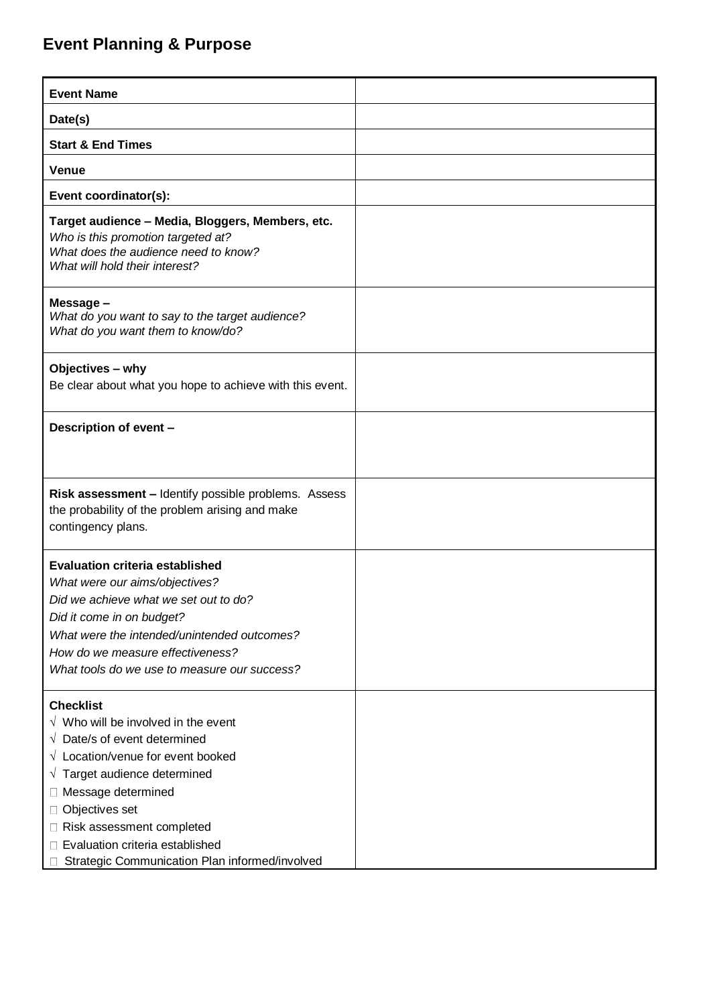## **Event Planning & Purpose**

| <b>Event Name</b>                                                                                                                                                                                                                                                                                                                                                     |  |
|-----------------------------------------------------------------------------------------------------------------------------------------------------------------------------------------------------------------------------------------------------------------------------------------------------------------------------------------------------------------------|--|
| Date(s)                                                                                                                                                                                                                                                                                                                                                               |  |
| <b>Start &amp; End Times</b>                                                                                                                                                                                                                                                                                                                                          |  |
| <b>Venue</b>                                                                                                                                                                                                                                                                                                                                                          |  |
| Event coordinator(s):                                                                                                                                                                                                                                                                                                                                                 |  |
| Target audience - Media, Bloggers, Members, etc.<br>Who is this promotion targeted at?<br>What does the audience need to know?<br>What will hold their interest?                                                                                                                                                                                                      |  |
| Message -<br>What do you want to say to the target audience?<br>What do you want them to know/do?                                                                                                                                                                                                                                                                     |  |
| Objectives - why<br>Be clear about what you hope to achieve with this event.                                                                                                                                                                                                                                                                                          |  |
| Description of event -                                                                                                                                                                                                                                                                                                                                                |  |
| Risk assessment - Identify possible problems. Assess<br>the probability of the problem arising and make<br>contingency plans.                                                                                                                                                                                                                                         |  |
| <b>Evaluation criteria established</b><br>What were our aims/objectives?<br>Did we achieve what we set out to do?<br>Did it come in on budget?<br>What were the intended/unintended outcomes?<br>How do we measure effectiveness?<br>What tools do we use to measure our success?                                                                                     |  |
| <b>Checklist</b><br>$\sqrt{ }$ Who will be involved in the event<br>$\sqrt{}$ Date/s of event determined<br>$\sqrt{}$ Location/venue for event booked<br>$\sqrt{ }$ Target audience determined<br>□ Message determined<br>$\Box$ Objectives set<br>□ Risk assessment completed<br>□ Evaluation criteria established<br>Strategic Communication Plan informed/involved |  |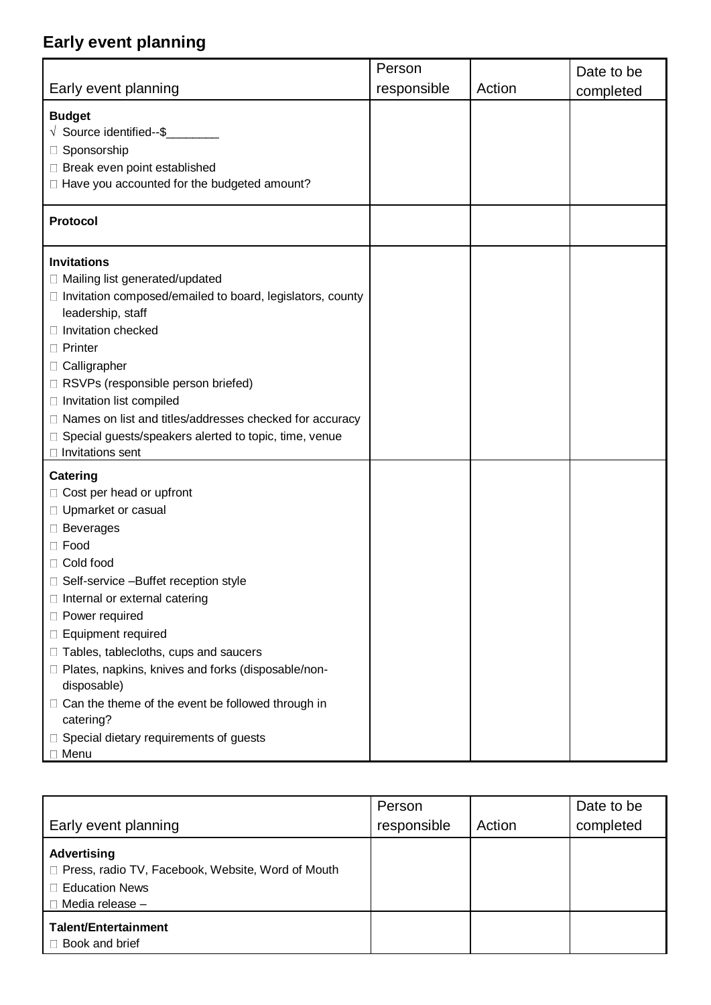## **Early event planning**

|                                                                     | Person      |        | Date to be |
|---------------------------------------------------------------------|-------------|--------|------------|
| Early event planning                                                | responsible | Action | completed  |
|                                                                     |             |        |            |
| <b>Budget</b><br>$\sqrt{\ }$ Source identified--\$                  |             |        |            |
| □ Sponsorship                                                       |             |        |            |
| □ Break even point established                                      |             |        |            |
| □ Have you accounted for the budgeted amount?                       |             |        |            |
|                                                                     |             |        |            |
| <b>Protocol</b>                                                     |             |        |            |
|                                                                     |             |        |            |
| <b>Invitations</b>                                                  |             |        |            |
| □ Mailing list generated/updated                                    |             |        |            |
| □ Invitation composed/emailed to board, legislators, county         |             |        |            |
| leadership, staff                                                   |             |        |            |
| □ Invitation checked                                                |             |        |            |
| $\Box$ Printer                                                      |             |        |            |
| $\Box$ Calligrapher                                                 |             |        |            |
| □ RSVPs (responsible person briefed)                                |             |        |            |
| □ Invitation list compiled                                          |             |        |            |
| □ Names on list and titles/addresses checked for accuracy           |             |        |            |
| □ Special guests/speakers alerted to topic, time, venue             |             |        |            |
| $\Box$ Invitations sent                                             |             |        |            |
| <b>Catering</b>                                                     |             |        |            |
| $\Box$ Cost per head or upfront                                     |             |        |            |
| □ Upmarket or casual                                                |             |        |            |
| □ Beverages                                                         |             |        |            |
| □ Food                                                              |             |        |            |
| □ Cold food                                                         |             |        |            |
| □ Self-service -Buffet reception style                              |             |        |            |
| □ Internal or external catering                                     |             |        |            |
| <b>Power required</b>                                               |             |        |            |
| □ Equipment required                                                |             |        |            |
| □ Tables, tablecloths, cups and saucers                             |             |        |            |
| □ Plates, napkins, knives and forks (disposable/non-<br>disposable) |             |        |            |
| $\Box$ Can the theme of the event be followed through in            |             |        |            |
| catering?                                                           |             |        |            |
| □ Special dietary requirements of guests                            |             |        |            |
| □ Menu                                                              |             |        |            |

|                                                                                                                    | Person      |        | Date to be |
|--------------------------------------------------------------------------------------------------------------------|-------------|--------|------------|
| Early event planning                                                                                               | responsible | Action | completed  |
| Advertising<br>□ Press, radio TV, Facebook, Website, Word of Mouth<br>□ Education News<br>$\Box$ Media release $-$ |             |        |            |
| Talent/Entertainment<br>$\Box$ Book and brief                                                                      |             |        |            |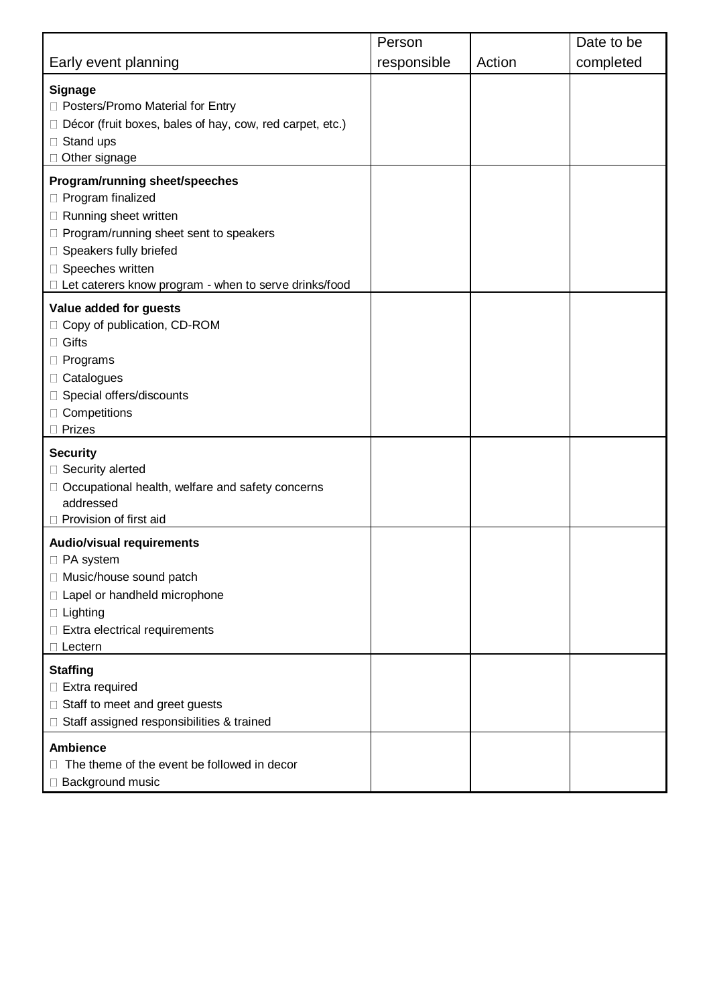|                                                                                                                                                                                                         | Person      |        | Date to be |
|---------------------------------------------------------------------------------------------------------------------------------------------------------------------------------------------------------|-------------|--------|------------|
| Early event planning                                                                                                                                                                                    | responsible | Action | completed  |
| <b>Signage</b><br>□ Posters/Promo Material for Entry<br>$\Box$ Décor (fruit boxes, bales of hay, cow, red carpet, etc.)<br>$\Box$ Stand ups<br>□ Other signage                                          |             |        |            |
| Program/running sheet/speeches                                                                                                                                                                          |             |        |            |
| □ Program finalized<br>□ Running sheet written<br>□ Program/running sheet sent to speakers<br>□ Speakers fully briefed<br>□ Speeches written<br>□ Let caterers know program - when to serve drinks/food |             |        |            |
| Value added for guests                                                                                                                                                                                  |             |        |            |
| Copy of publication, CD-ROM<br>$\Box$ Gifts<br>$\Box$ Programs<br>□ Catalogues<br>□ Special offers/discounts<br>□ Competitions<br>$\Box$ Prizes                                                         |             |        |            |
| <b>Security</b>                                                                                                                                                                                         |             |        |            |
| □ Security alerted<br>□ Occupational health, welfare and safety concerns<br>addressed<br>□ Provision of first aid                                                                                       |             |        |            |
| <b>Audio/visual requirements</b>                                                                                                                                                                        |             |        |            |
| $\Box$ PA system<br>□ Music/house sound patch<br>□ Lapel or handheld microphone<br>$\Box$ Lighting<br>$\Box$ Extra electrical requirements<br>□ Lectern                                                 |             |        |            |
| <b>Staffing</b><br>$\Box$ Extra required<br>□ Staff to meet and greet guests<br>□ Staff assigned responsibilities & trained                                                                             |             |        |            |
| <b>Ambience</b><br>The theme of the event be followed in decor<br>□ Background music                                                                                                                    |             |        |            |